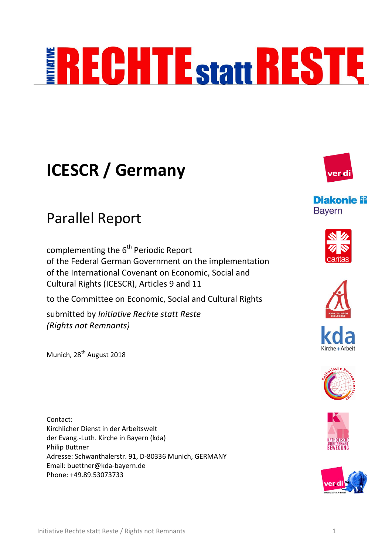# **RECHTE<sub>Statt</sub>RESTE**

## **ICESCR / Germany**

### Parallel Report

complementing the  $6<sup>th</sup>$  Periodic Report of the Federal German Government on the implementation of the International Covenant on Economic, Social and Cultural Rights (ICESCR), Articles 9 and 11

to the Committee on Economic, Social and Cultural Rights

submitted by *Initiative Rechte statt Reste (Rights not Remnants)*

Munich, 28<sup>th</sup> August 2018

Contact: Kirchlicher Dienst in der Arbeitswelt der Evang.-Luth. Kirche in Bayern (kda) Philip Büttner Adresse: Schwanthalerstr. 91, D-80336 Munich, GERMANY Email: buettner@kda-bayern.de Phone: +49.89.53073733



**Diakonie P Bayern** 











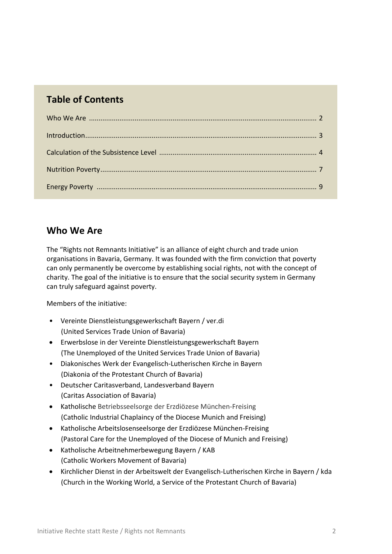#### **Table of Contents**

| Introduction 3 |  |
|----------------|--|
|                |  |
|                |  |
|                |  |

#### **Who We Are**

The "Rights not Remnants Initiative" is an alliance of eight church and trade union organisations in Bavaria, Germany. It was founded with the firm conviction that poverty can only permanently be overcome by establishing social rights, not with the concept of charity. The goal of the initiative is to ensure that the social security system in Germany can truly safeguard against poverty.

Members of the initiative:

- Vereinte Dienstleistungsgewerkschaft Bayern / ver.di (United Services Trade Union of Bavaria)
- Erwerbslose in der Vereinte Dienstleistungsgewerkschaft Bayern (The Unemployed of the United Services Trade Union of Bavaria)
- Diakonisches Werk der Evangelisch-Lutherischen Kirche in Bayern (Diakonia of the Protestant Church of Bavaria)
- Deutscher Caritasverband, Landesverband Bayern (Caritas Association of Bavaria)
- Katholische Betriebsseelsorge der Erzdiözese München-Freising (Catholic Industrial Chaplaincy of the Diocese Munich and Freising)
- Katholische Arbeitslosenseelsorge der Erzdiözese München-Freising (Pastoral Care for the Unemployed of the Diocese of Munich and Freising)
- Katholische Arbeitnehmerbewegung Bayern / KAB (Catholic Workers Movement of Bavaria)
- Kirchlicher Dienst in der Arbeitswelt der Evangelisch-Lutherischen Kirche in Bayern / kda (Church in the Working World, a Service of the Protestant Church of Bavaria)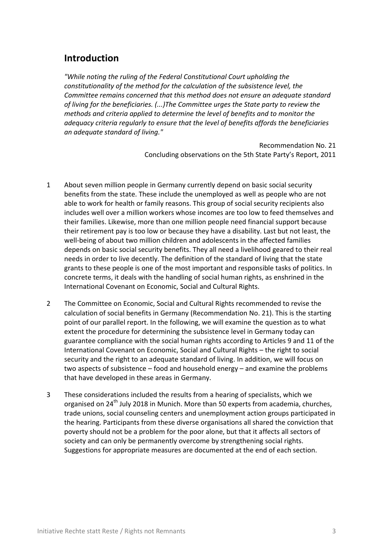#### **Introduction**

*"While noting the ruling of the Federal Constitutional Court upholding the constitutionality of the method for the calculation of the subsistence level, the Committee remains concerned that this method does not ensure an adequate standard of living for the beneficiaries. (...)The Committee urges the State party to review the methods and criteria applied to determine the level of benefits and to monitor the adequacy criteria regularly to ensure that the level of benefits affords the beneficiaries an adequate standard of living."*

> Recommendation No. 21 Concluding observations on the 5th State Party's Report, 2011

- 1 About seven million people in Germany currently depend on basic social security benefits from the state. These include the unemployed as well as people who are not able to work for health or family reasons. This group of social security recipients also includes well over a million workers whose incomes are too low to feed themselves and their families. Likewise, more than one million people need financial support because their retirement pay is too low or because they have a disability. Last but not least, the well-being of about two million children and adolescents in the affected families depends on basic social security benefits. They all need a livelihood geared to their real needs in order to live decently. The definition of the standard of living that the state grants to these people is one of the most important and responsible tasks of politics. In concrete terms, it deals with the handling of social human rights, as enshrined in the International Covenant on Economic, Social and Cultural Rights.
- 2 The Committee on Economic, Social and Cultural Rights recommended to revise the calculation of social benefits in Germany (Recommendation No. 21). This is the starting point of our parallel report. In the following, we will examine the question as to what extent the procedure for determining the subsistence level in Germany today can guarantee compliance with the social human rights according to Articles 9 and 11 of the International Covenant on Economic, Social and Cultural Rights – the right to social security and the right to an adequate standard of living. In addition, we will focus on two aspects of subsistence – food and household energy – and examine the problems that have developed in these areas in Germany.
- 3 These considerations included the results from a hearing of specialists, which we organised on 24<sup>th</sup> July 2018 in Munich. More than 50 experts from academia, churches, trade unions, social counseling centers and unemployment action groups participated in the hearing. Participants from these diverse organisations all shared the conviction that poverty should not be a problem for the poor alone, but that it affects all sectors of society and can only be permanently overcome by strengthening social rights. Suggestions for appropriate measures are documented at the end of each section.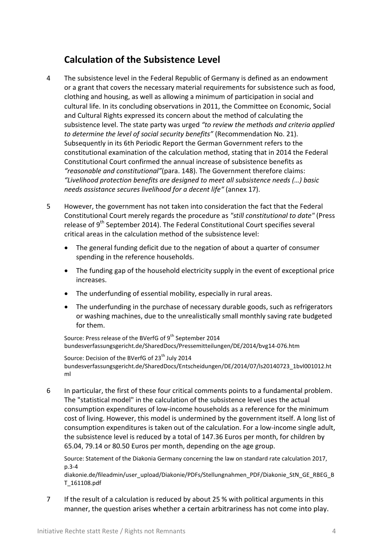#### **Calculation of the Subsistence Level**

- 4 The subsistence level in the Federal Republic of Germany is defined as an endowment or a grant that covers the necessary material requirements for subsistence such as food, clothing and housing, as well as allowing a minimum of participation in social and cultural life. In its concluding observations in 2011, the Committee on Economic, Social and Cultural Rights expressed its concern about the method of calculating the subsistence level. The state party was urged *"to review the methods and criteria applied to determine the level of social security benefits"* (Recommendation No. 21). [Subsequently](https://www.dict.cc/englisch-deutsch/subsequently.html) in its 6th Periodic Report the German Government refers to the constitutional examination of the calculation method, stating that in 2014 the Federal Constitutional Court confirmed the annual increase of subsistence benefits as *"reasonable and constitutional"*(para. 148). The Government therefore claims: *"Livelihood protection benefits are designed to meet all subsistence needs (…) basic needs assistance secures livelihood for a decent life"* (annex 17).
- 5 However, the government has not taken into consideration the fact that the Federal Constitutional Court merely regards the procedure as *"still constitutional to date"* (Press release of  $9<sup>th</sup>$  September 2014). The Federal Constitutional Court specifies several critical areas in the calculation method of the subsistence level:
	- The general funding deficit due to the negation of about a quarter of consumer spending in the reference households.
	- The funding gap of the household electricity supply in the event of exceptional price increases.
	- The underfunding of essential mobility, especially in rural areas.
	- The underfunding in the purchase of necessary durable goods, such as refrigerators or washing machines, due to the unrealistically small monthly saving rate budgeted for them.

Source: Press release of the BVerfG of 9<sup>th</sup> September 2014 [bundesverfassungsgericht.de/SharedDocs/Pressemitteilungen/DE/2014/bvg14-076.htm](http://www.bundesverfassungsgericht.de/SharedDocs/Pressemitteilungen/DE/2014/bvg14-076.htm)

Source: Decision of the BVerfG of 23<sup>th</sup> July 2014 [bundesverfassungsgericht.de/SharedDocs/Entscheidungen/DE/2014/07/ls20140723\\_1bvl001012.ht](http://www.bundesverfassungsgericht.de/SharedDocs/Entscheidungen/DE/2014/07/ls20140723_1bvl001012.html) [ml](http://www.bundesverfassungsgericht.de/SharedDocs/Entscheidungen/DE/2014/07/ls20140723_1bvl001012.html)

6 In particular, the first of these four critical comments points to a fundamental problem. The "statistical model" in the calculation of the subsistence level uses the actual consumption expenditures of low-income households as a reference for the minimum cost of living. However, this model is undermined by the government itself. A long list of consumption expenditures is taken out of the calculation. For a low-income single adult, the subsistence level is reduced by a total of 147.36 Euros per month, for children by 65.04, 79.14 or 80.50 Euros per month, depending on the age group.

Source: Statement of the Diakonia Germany concerning the law on standard rate calculation 2017, p.3-4

diakonie.de/fileadmin/user\_upload/Diakonie/PDFs/Stellungnahmen\_PDF/Diakonie\_StN\_GE\_RBEG\_B T\_161108.pdf

7 If the result of a calculation is reduced by about 25 % with political arguments in this manner, the question arises whether a certain arbitrariness has not come into play.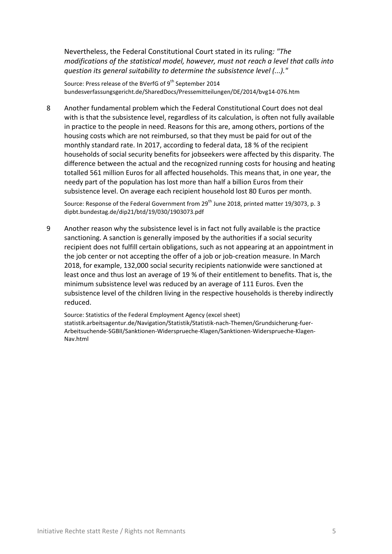Nevertheless, the Federal Constitutional Court stated in its ruling*: "The modifications of the statistical model, however, must not reach a level that calls into question its general suitability to determine the subsistence level (...)."*

Source: Press release of the BVerfG of 9<sup>th</sup> September 2014 [bundesverfassungsgericht.de/SharedDocs/Pressemitteilungen/DE/2014/bvg14-076.htm](http://www.bundesverfassungsgericht.de/SharedDocs/Pressemitteilungen/DE/2014/bvg14-076.htm)

8 Another fundamental problem which the Federal Constitutional Court does not deal with is that the subsistence level, regardless of its calculation, is often not fully available in practice to the people in need. Reasons for this are, among others, portions of the housing costs which are not reimbursed, so that they must be paid for out of the monthly standard rate. In 2017, according to federal data, 18 % of the recipient households of social security benefits for jobseekers were affected by this disparity. The difference between the actual and the recognized running costs for housing and heating totalled 561 million Euros for all affected households. This means that, in one year, the needy part of the population has lost more than half a billion Euros from their subsistence level. On average each recipient household lost 80 Euros per month.

Source: Response of the Federal Government from 29<sup>th</sup> June 2018, printed matter 19/3073, p. 3 dipbt.bundestag.de/dip21/btd/19/030/1903073.pdf

9 Another reason why the subsistence level is in fact not fully available is the practice sanctioning. A sanction is generally imposed by the authorities if a social security recipient does not fulfill certain obligations, such as not appearing at an appointment in the job center or not accepting the offer of a job or job-creation measure. In March 2018, for example, 132,000 social security recipients nationwide were sanctioned at least once and thus lost an average of 19 % of their entitlement to benefits. That is, the minimum subsistence level was reduced by an average of 111 Euros. Even the subsistence level of the children living in the respective households is thereby indirectly reduced.

Source: Statistics of the Federal Employment Agency (excel sheet) [statistik.arbeitsagentur.de/Navigation/Statistik/Statistik-nach-Themen/Grundsicherung-fuer-](https://statistik.arbeitsagentur.de/Navigation/Statistik/Statistik-nach-Themen/Grundsicherung-fuer-Arbeitsuchende-SGBII/Sanktionen-Widersprueche-Klagen/Sanktionen-Widersprueche-Klagen-Nav.html)[Arbeitsuchende-SGBII/Sanktionen-Widersprueche-Klagen/Sanktionen-Widersprueche-Klagen-](https://statistik.arbeitsagentur.de/Navigation/Statistik/Statistik-nach-Themen/Grundsicherung-fuer-Arbeitsuchende-SGBII/Sanktionen-Widersprueche-Klagen/Sanktionen-Widersprueche-Klagen-Nav.html)[Nav.html](https://statistik.arbeitsagentur.de/Navigation/Statistik/Statistik-nach-Themen/Grundsicherung-fuer-Arbeitsuchende-SGBII/Sanktionen-Widersprueche-Klagen/Sanktionen-Widersprueche-Klagen-Nav.html)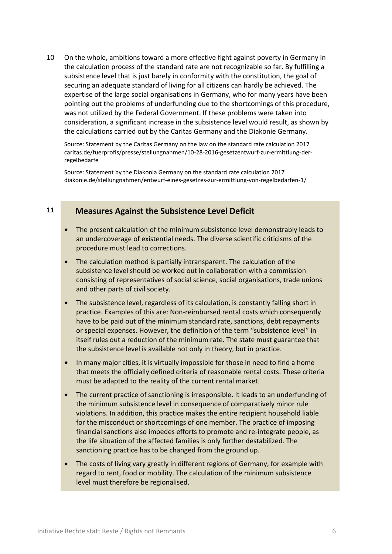10 On the whole, ambitions toward a more effective fight against poverty in Germany in the calculation process of the standard rate are not recognizable so far. By fulfilling a subsistence level that is just barely in conformity with the constitution, the goal of securing an adequate standard of living for all citizens can hardly be achieved. The expertise of the large social organisations in Germany, who for many years have been pointing out the problems of underfunding due to the shortcomings of this procedure, was not utilized by the Federal Government. If these problems were taken into consideration, a significant increase in the subsistence level would result, as shown by the calculations carried out by the Caritas Germany and the Diakonie Germany.

Source: Statement by the Caritas Germany on the law on the standard rate calculation 2017 [caritas.de/fuerprofis/presse/stellungnahmen/10-28-2016-gesetzentwurf-zur-ermittlung-der](http://www.caritas.de/fuerprofis/presse/stellungnahmen/10-28-2016-gesetzentwurf-zur-ermittlung-der-regelbedarfe)[regelbedarfe](http://www.caritas.de/fuerprofis/presse/stellungnahmen/10-28-2016-gesetzentwurf-zur-ermittlung-der-regelbedarfe)

Source: Statement by the Diakonia Germany on the standard rate calculation 2017 [diakonie.de/stellungnahmen/entwurf-eines-gesetzes-zur-ermittlung-von-regelbedarfen-1/](http://www.diakonie.de/stellungnahmen/entwurf-eines-gesetzes-zur-ermittlung-von-regelbedarfen-1/)

#### 11 **Measures Against the Subsistence Level Deficit**

- The present calculation of the minimum subsistence level demonstrably leads to an undercoverage of existential needs. The diverse scientific criticisms of the procedure must lead to corrections.
- The calculation method is partially intransparent. The calculation of the subsistence level should be worked out in collaboration with a commission consisting of representatives of social science, social organisations, trade unions and other parts of civil society.
- The subsistence level, regardless of its calculation, is constantly falling short in practice. Examples of this are: Non-reimbursed rental costs which consequently have to be paid out of the minimum standard rate, sanctions, debt repayments or special expenses. However, the definition of the term "subsistence level" in itself rules out a reduction of the minimum rate. The state must guarantee that the subsistence level is available not only in theory, but in practice.
- In many major cities, it is virtually impossible for those in need to find a home that meets the officially defined criteria of reasonable rental costs. These criteria must be adapted to the reality of the current rental market.
- The current practice of sanctioning is irresponsible. It leads to an underfunding of the minimum subsistence level in consequence of comparatively minor rule violations. In addition, this practice makes the entire recipient household liable for the misconduct or shortcomings of one member. The practice of imposing financial sanctions also impedes efforts to promote and re-integrate people, as the life situation of the affected families is only further destabilized. The sanctioning practice has to be changed from the ground up.
- The costs of living vary greatly in different regions of Germany, for example with regard to rent, food or mobility. The calculation of the minimum subsistence level must therefore be regionalised.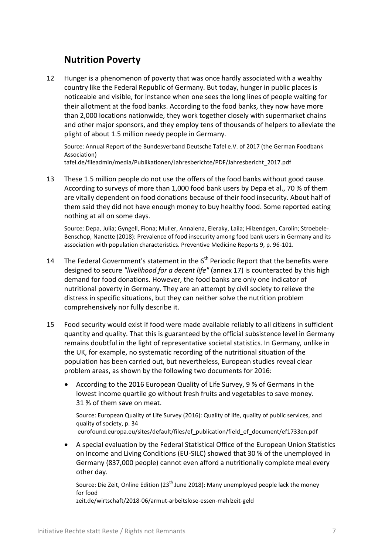#### **Nutrition Poverty**

12 Hunger is a phenomenon of poverty that was once hardly associated with a wealthy country like the Federal Republic of Germany. But today, hunger in public places is noticeable and visible, for instance when one sees the long lines of people waiting for their allotment at the food banks. According to the food banks, they now have more than 2,000 locations nationwide, they work together closely with supermarket chains and other major sponsors, and they employ tens of thousands of helpers to alleviate the plight of about 1.5 million needy people in Germany.

Source: Annual Report of the Bundesverband Deutsche Tafel e.V. of 2017 (the German Foodbank Association)

[tafel.de/fileadmin/media/Publikationen/Jahresberichte/PDF/Jahresbericht\\_2017.pdf](https://www.tafel.de/fileadmin/media/Publikationen/Jahresberichte/PDF/Jahresbericht_2017.pdf)

13 These 1.5 million people do not use the offers of the food banks without good cause. According to surveys of more than 1,000 food bank users by Depa et al., 70 % of them are vitally dependent on food donations because of their food insecurity. About half of them said they did not have enough money to buy healthy food. Some reported eating nothing at all on some days.

Source: Depa, Julia; Gyngell, Fiona; Muller, Annalena, Eleraky, Laila; Hilzendgen, Carolin; Stroebele-Benschop, Nanette (2018): Prevalence of food insecurity among food bank users in Germany and its association with population characteristics. Preventive Medicine Reports 9, p. 96-101.

- 14 The Federal Government's statement in the 6<sup>th</sup> Periodic Report that the benefits were designed to secure *"livelihood for a decent life"* (annex 17) is counteracted by this high demand for food donations. However, the food banks are only one indicator of nutritional poverty in Germany. They are an attempt by civil society to relieve the distress in specific situations, but they can neither solve the nutrition problem comprehensively nor fully describe it.
- 15 Food security would exist if food were made available reliably to all citizens in sufficient quantity and quality. That this is guaranteed by the official subsistence level in Germany remains doubtful in the light of representative societal statistics. In Germany, unlike in the UK, for example, no systematic recording of the nutritional situation of the population has been carried out, but nevertheless, European studies reveal clear problem areas, as shown by the following two documents for 2016:
	- According to the 2016 European Quality of Life Survey, 9 % of Germans in the lowest income quartile go without fresh fruits and vegetables to save money. 31 % of them save on meat.

Source: European Quality of Life Survey (2016): Quality of life, quality of public services, and quality of society, p. 34 [eurofound.europa.eu/sites/default/files/ef\\_publication/field\\_ef\\_document/ef1733en.pdf](https://www.eurofound.europa.eu/sites/default/files/ef_publication/field_ef_document/ef1733en.pdf)

 A special evaluation by the Federal Statistical Office of the European Union Statistics on Income and Living Conditions (EU-SILC) showed that 30 % of the unemployed in Germany (837,000 people) cannot even afford a nutritionally complete meal every other day.

Source: Die Zeit, Online Edition ( $23<sup>th</sup>$  June 2018): Many unemployed people lack the money for food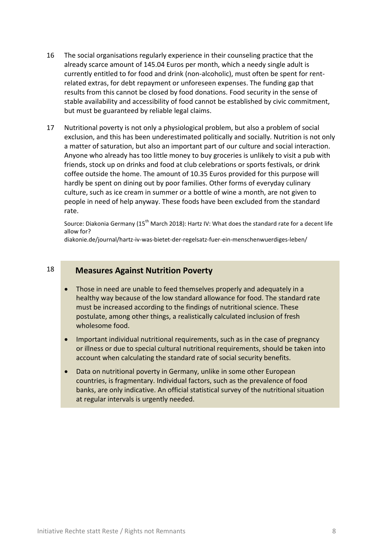- 16 The social organisations regularly experience in their counseling practice that the already scarce amount of 145.04 Euros per month, which a needy single adult is currently entitled to for food and drink (non-alcoholic), must often be spent for rentrelated extras, for debt repayment or unforeseen expenses. The funding gap that results from this cannot be closed by food donations. Food security in the sense of stable availability and accessibility of food cannot be established by civic commitment, but must be guaranteed by reliable legal claims.
- 17 Nutritional poverty is not only a physiological problem, but also a problem of social exclusion, and this has been underestimated politically and socially. Nutrition is not only a matter of saturation, but also an important part of our culture and social interaction. Anyone who already has too little money to buy groceries is unlikely to visit a pub with friends, stock up on drinks and food at club celebrations or sports festivals, or drink coffee outside the home. The amount of 10.35 Euros provided for this purpose will hardly be spent on dining out by poor families. Other forms of everyday culinary culture, such as ice cream in summer or a bottle of wine a month, are not given to people in need of help anyway. These foods have been excluded from the standard rate.

Source: Diakonia Germany (15<sup>th</sup> March 2018): Hartz IV: What does the standard rate for a decent life allow for?

[diakonie.de/journal/hartz-iv-was-bietet-der-regelsatz-fuer-ein-menschenwuerdiges-leben/](https://www.diakonie.de/journal/hartz-iv-was-bietet-der-regelsatz-fuer-ein-menschenwuerdiges-leben/)

#### 18 **Measures Against Nutrition Poverty**

- Those in need are unable to feed themselves properly and adequately in a healthy way because of the low standard allowance for food. The standard rate must be increased according to the findings of nutritional science. These postulate, among other things, a realistically calculated inclusion of fresh wholesome food.
- Important individual nutritional requirements, such as in the case of pregnancy or illness or due to special cultural nutritional requirements, should be taken into account when calculating the standard rate of social security benefits.
- Data on nutritional poverty in Germany, unlike in some other European countries, is fragmentary. Individual factors, such as the prevalence of food banks, are only indicative. An official statistical survey of the nutritional situation at regular intervals is urgently needed.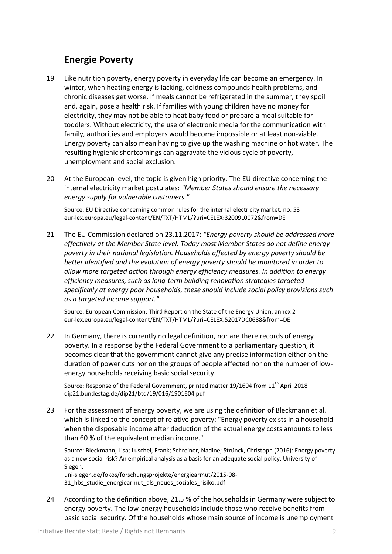#### **Energie Poverty**

- 19 Like nutrition poverty, energy poverty in everyday life can become an emergency. In winter, when heating energy is lacking, coldness compounds health problems, and chronic diseases get worse. If meals cannot be refrigerated in the summer, they spoil and, again, pose a health risk. If families with young children have no money for electricity, they may not be able to heat baby food or prepare a meal suitable for toddlers. Without electricity, the use of electronic media for the communication with family, authorities and employers would become impossible or at least non-viable. Energy poverty can also mean having to give up the washing machine or hot water. The resulting hygienic shortcomings can aggravate the vicious cycle of poverty, unemployment and social exclusion.
- 20 At the European level, the topic is given high priority. The EU directive concerning the internal electricity market postulates: *"Member States should ensure the necessary energy supply for vulnerable customers."*

Source: EU Directive concerning common rules for the internal electricity market, no. 53 eur-lex.europa.eu/legal-content/EN/TXT/HTML/?uri=CELEX:32009L007[2&from=DE](https://eur-lex.europa.eu/legal-content/EN/TXT/HTML/?uri=CELEX:32009L0072&from=DE)

21 The EU Commission declared on 23.11.2017: *"Energy poverty should be addressed more effectively at the Member State level. Today most Member States do not define energy poverty in their national legislation. Households affected by energy poverty should be better identified and the evolution of energy poverty should be monitored in order to allow more targeted action through energy efficiency measures. In addition to energy efficiency measures, such as long-term building renovation strategies targeted specifically at energy poor households, these should include social policy provisions such as a targeted income support."*

Source: European Commission: Third Report on the State of the Energy Union, annex 2 eur-lex.europa.eu/legal-content/EN/TXT/HTML/?uri=CELEX:52017DC0688&from=DE

22 In Germany, there is currently no legal definition, nor are there records of energy poverty. In a response by the Federal Government to a parliamentary question, it becomes clear that the government cannot give any precise information either on the duration of power cuts nor on the groups of people affected nor on the number of lowenergy households receiving basic social security.

Source: Response of the Federal Government, printed matter 19/1604 from  $11<sup>th</sup>$  April 2018 dip21.bundestag.de/dip21/btd/19/016/1901604.pdf

23 For the assessment of energy poverty, we are using the definition of Bleckmann et al. which is linked to the concept of relative poverty: "Energy poverty exists in a household when the disposable income after deduction of the actual energy costs amounts to less than 60 % of the equivalent median income."

Source: Bleckmann, Lisa; Luschei, Frank; Schreiner, Nadine; Strünck, Christoph (2016): Energy poverty as a new social risk? An empirical analysis as a basis for an adequate social policy. University of Siegen.

uni-siegen.de/fokos/forschungsprojekte/energiearmut/2015-08- 31 hbs studie energiearmut als neues soziales risiko.pdf

24 According to the definition above, 21.5 % of the households in Germany were subject to energy poverty. The low-energy households include those who receive benefits from basic social security. Of the households whose main source of income is unemployment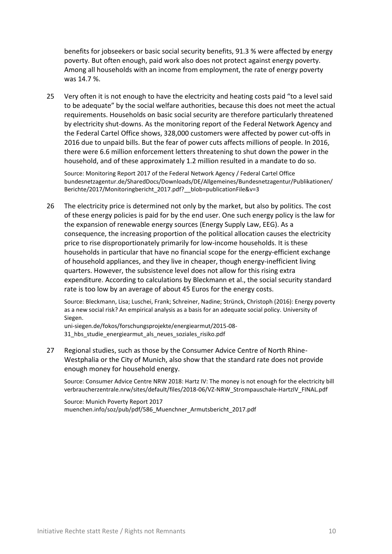benefits for jobseekers or basic social security benefits, 91.3 % were affected by energy poverty. But often enough, paid work also does not protect against energy poverty. Among all households with an income from employment, the rate of energy poverty was 14.7 %.

25 Very often it is not enough to have the electricity and heating costs paid "to a level said to be adequate" by the social welfare authorities, because this does not meet the actual requirements. Households on basic social security are therefore particularly threatened by electricity shut-downs. As the monitoring report of the Federal Network Agency and the Federal Cartel Office shows, 328,000 customers were affected by power cut-offs in 2016 due to unpaid bills. But the fear of power cuts affects millions of people. In 2016, there were 6.6 million enforcement letters threatening to shut down the power in the household, and of these approximately 1.2 million resulted in a mandate to do so.

Source: Monitoring Report 2017 of the Federal Network Agency / Federal Cartel Office [bundesnetzagentur.de/SharedDocs/Downloads/DE/Allgemeines/Bundesnetzagentur/Publikationen/](https://www.bundesnetzagentur.de/SharedDocs/Downloads/DE/Allgemeines/Bundesnetzagentur/Publikationen/Berichte/2017/Monitoringbericht_2017.pdf?__blob=publicationFile&v=3) [Berichte/2017/Monitoringbericht\\_2017.pdf?\\_\\_blob=publicationFile&v=3](https://www.bundesnetzagentur.de/SharedDocs/Downloads/DE/Allgemeines/Bundesnetzagentur/Publikationen/Berichte/2017/Monitoringbericht_2017.pdf?__blob=publicationFile&v=3)

26 The electricity price is determined not only by the market, but also by politics. The cost of these energy policies is paid for by the end user. One such energy policy is the law for the expansion of renewable energy sources (Energy Supply Law, EEG). As a consequence, the increasing proportion of the political allocation causes the electricity price to rise disproportionately primarily for low-income households. It is these households in particular that have no financial scope for the energy-efficient exchange of household appliances, and they live in cheaper, though energy-inefficient living quarters. However, the subsistence level does not allow for this rising extra expenditure. According to calculations by Bleckmann et al., the social security standard rate is too low by an average of about 45 Euros for the energy costs.

Source: Bleckmann, Lisa; Luschei, Frank; Schreiner, Nadine; Strünck, Christoph (2016): Energy poverty as a new social risk? An empirical analysis as a basis for an adequate social policy. University of Siegen.

uni-siegen.de/fokos/forschungsprojekte/energiearmut/2015-08- 31 hbs studie energiearmut als neues soziales risiko.pdf

27 Regional studies, such as those by the Consumer Advice Centre of North Rhine-Westphalia or the City of Munich, also show that the standard rate does not provide enough money for household energy.

Source: Consumer Advice Centre NRW 2018: Hartz IV: The money is not enough for the electricity bill [verbraucherzentrale.nrw/sites/default/files/2018-06/VZ-NRW\\_Strompauschale-HartzIV\\_FINAL.pdf](https://www.verbraucherzentrale.nrw/sites/default/files/2018-06/VZ-NRW_Strompauschale-HartzIV_FINAL.pdf)

Source: Munich Poverty Report 2017 [muenchen.info/soz/pub/pdf/586\\_Muenchner\\_Armutsbericht\\_2017.pdf](http://www.muenchen.info/soz/pub/pdf/586_Muenchner_Armutsbericht_2017.pdf)